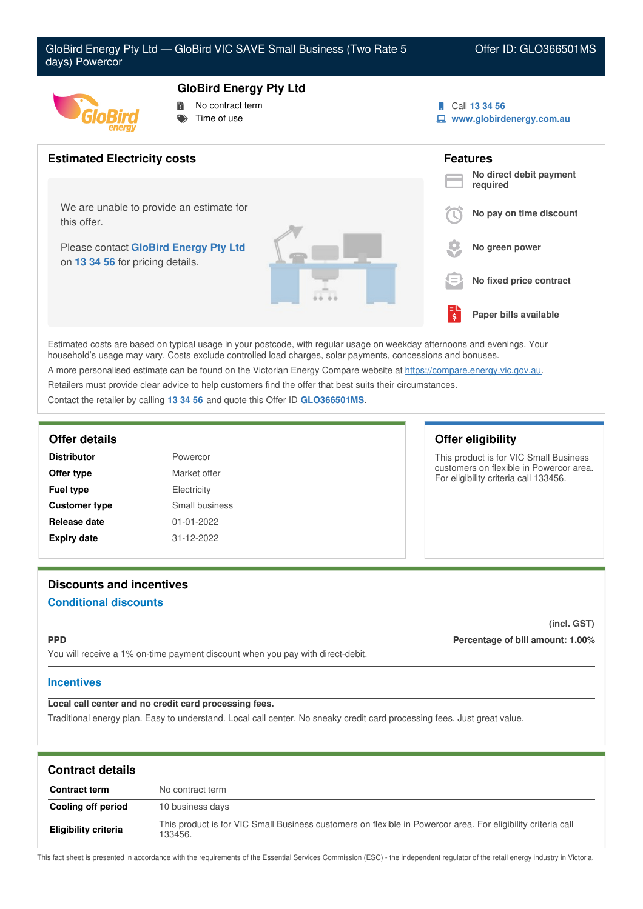



- No contract term
- Time of use
- Call **13 34 56**
- **www.globirdenergy.com.au**



Estimated costs are based on typical usage in your postcode, with regular usage on weekday afternoons and evenings. Your household's usage may vary. Costs exclude controlled load charges, solar payments, concessions and bonuses. A more personalised estimate can be found on the Victorian Energy Compare website at <https://compare.energy.vic.gov.au>.

Retailers must provide clear advice to help customers find the offer that best suits their circumstances.

Contact the retailer by calling **13 34 56** and quote this Offer ID **GLO366501MS**.

| <b>Distributor</b>   | Powercor         |  |
|----------------------|------------------|--|
| Offer type           | Market offer     |  |
| <b>Fuel type</b>     | Electricity      |  |
| <b>Customer type</b> | Small business   |  |
| Release date         | $01 - 01 - 2022$ |  |
| <b>Expiry date</b>   | 31-12-2022       |  |

## **Offer details Offer eligibility**

This product is for VIC Small Business customers on flexible in Powercor area. For eligibility criteria call 133456.

# **Discounts and incentives Conditional discounts**

**(incl. GST)**

**PPD Percentage of bill amount: 1.00%**

You will receive a 1% on-time payment discount when you pay with direct-debit.

# **Incentives**

**Local call center and no credit card processing fees.**

Traditional energy plan. Easy to understand. Local call center. No sneaky credit card processing fees. Just great value.

| <b>Contract details</b>     |                                                                                                                         |
|-----------------------------|-------------------------------------------------------------------------------------------------------------------------|
| <b>Contract term</b>        | No contract term                                                                                                        |
| Cooling off period          | 10 business days                                                                                                        |
| <b>Eligibility criteria</b> | This product is for VIC Small Business customers on flexible in Powercor area. For eligibility criteria call<br>133456. |

This fact sheet is presented in accordance with the requirements of the Essential Services Commission (ESC) - the independent regulator of the retail energy industry in Victoria.